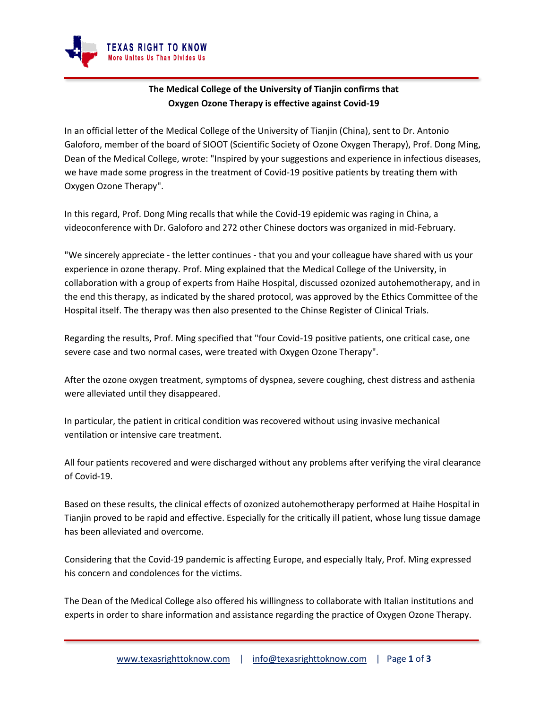

## **The Medical College of the University of Tianjin confirms that Oxygen Ozone Therapy is effective against Covid-19**

In an official letter of the Medical College of the University of Tianjin (China), sent to Dr. Antonio Galoforo, member of the board of SIOOT (Scientific Society of Ozone Oxygen Therapy), Prof. Dong Ming, Dean of the Medical College, wrote: "Inspired by your suggestions and experience in infectious diseases, we have made some progress in the treatment of Covid-19 positive patients by treating them with Oxygen Ozone Therapy".

In this regard, Prof. Dong Ming recalls that while the Covid-19 epidemic was raging in China, a videoconference with Dr. Galoforo and 272 other Chinese doctors was organized in mid-February.

"We sincerely appreciate - the letter continues - that you and your colleague have shared with us your experience in ozone therapy. Prof. Ming explained that the Medical College of the University, in collaboration with a group of experts from Haihe Hospital, discussed ozonized autohemotherapy, and in the end this therapy, as indicated by the shared protocol, was approved by the Ethics Committee of the Hospital itself. The therapy was then also presented to the Chinse Register of Clinical Trials.

Regarding the results, Prof. Ming specified that "four Covid-19 positive patients, one critical case, one severe case and two normal cases, were treated with Oxygen Ozone Therapy".

After the ozone oxygen treatment, symptoms of dyspnea, severe coughing, chest distress and asthenia were alleviated until they disappeared.

In particular, the patient in critical condition was recovered without using invasive mechanical ventilation or intensive care treatment.

All four patients recovered and were discharged without any problems after verifying the viral clearance of Covid-19.

Based on these results, the clinical effects of ozonized autohemotherapy performed at Haihe Hospital in Tianjin proved to be rapid and effective. Especially for the critically ill patient, whose lung tissue damage has been alleviated and overcome.

Considering that the Covid-19 pandemic is affecting Europe, and especially Italy, Prof. Ming expressed his concern and condolences for the victims.

The Dean of the Medical College also offered his willingness to collaborate with Italian institutions and experts in order to share information and assistance regarding the practice of Oxygen Ozone Therapy.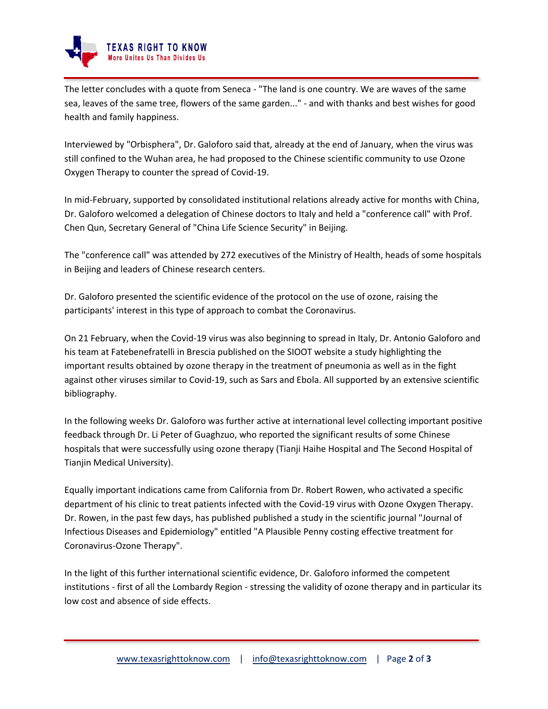

The letter concludes with a quote from Seneca - "The land is one country. We are waves of the same sea, leaves of the same tree, flowers of the same garden..." - and with thanks and best wishes for good health and family happiness.

Interviewed by "Orbisphera", Dr. Galoforo said that, already at the end of January, when the virus was still confined to the Wuhan area, he had proposed to the Chinese scientific community to use Ozone Oxygen Therapy to counter the spread of Covid-19.

In mid-February, supported by consolidated institutional relations already active for months with China, Dr. Galoforo welcomed a delegation of Chinese doctors to Italy and held a "conference call" with Prof. Chen Qun, Secretary General of "China Life Science Security" in Beijing.

The "conference call" was attended by 272 executives of the Ministry of Health, heads of some hospitals in Beijing and leaders of Chinese research centers.

Dr. Galoforo presented the scientific evidence of the protocol on the use of ozone, raising the participants' interest in this type of approach to combat the Coronavirus.

On 21 February, when the Covid-19 virus was also beginning to spread in Italy, Dr. Antonio Galoforo and his team at Fatebenefratelli in Brescia published on the SIOOT website a study highlighting the important results obtained by ozone therapy in the treatment of pneumonia as well as in the fight against other viruses similar to Covid-19, such as Sars and Ebola. All supported by an extensive scientific bibliography.

In the following weeks Dr. Galoforo was further active at international level collecting important positive feedback through Dr. Li Peter of Guaghzuo, who reported the significant results of some Chinese hospitals that were successfully using ozone therapy (Tianji Haihe Hospital and The Second Hospital of Tianjin Medical University).

Equally important indications came from California from Dr. Robert Rowen, who activated a specific department of his clinic to treat patients infected with the Covid-19 virus with Ozone Oxygen Therapy. Dr. Rowen, in the past few days, has published published a study in the scientific journal "Journal of Infectious Diseases and Epidemiology" entitled "A Plausible Penny costing effective treatment for Coronavirus-Ozone Therapy".

In the light of this further international scientific evidence, Dr. Galoforo informed the competent institutions - first of all the Lombardy Region - stressing the validity of ozone therapy and in particular its low cost and absence of side effects.